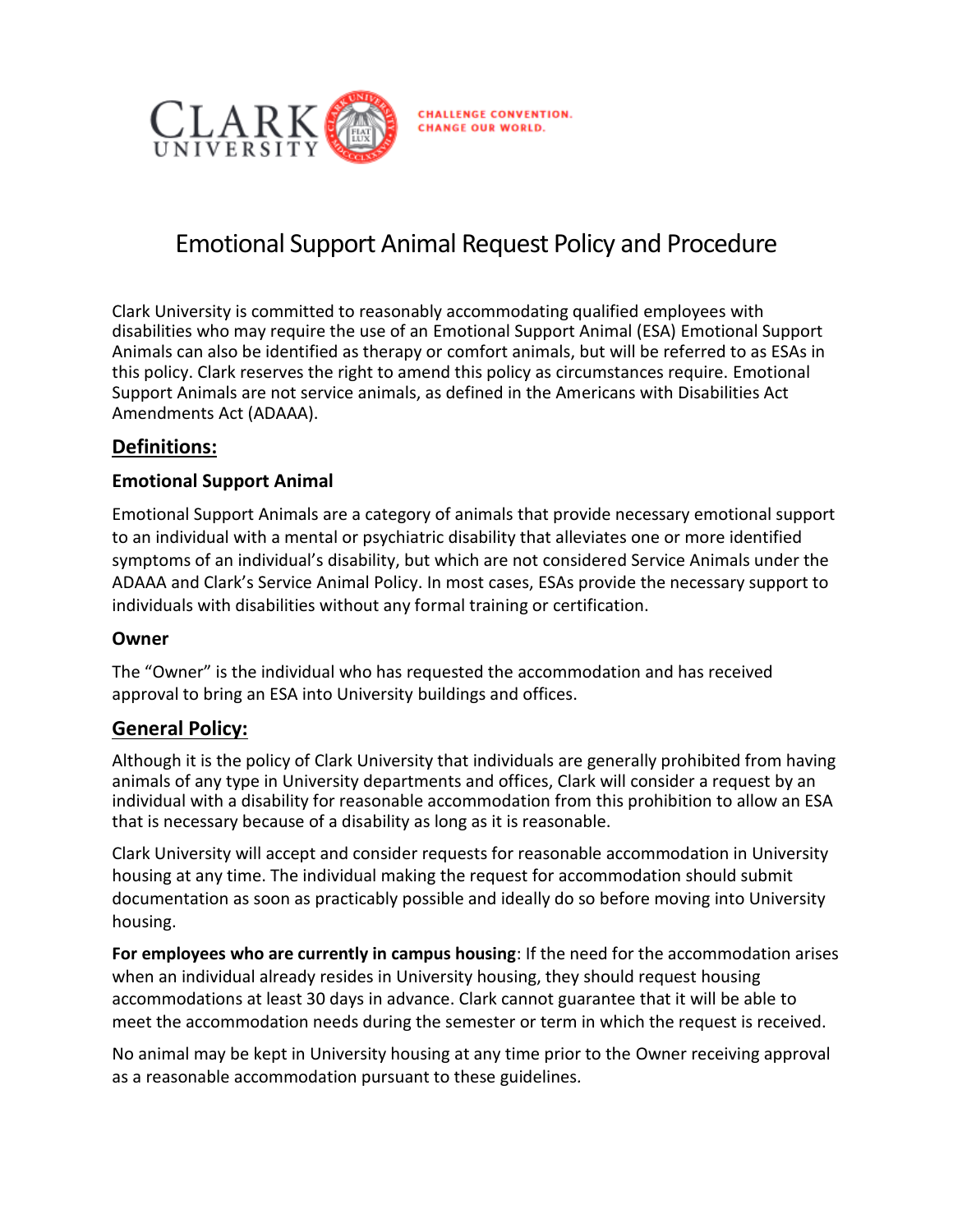

# Emotional Support Animal Request Policy and Procedure

Clark University is committed to reasonably accommodating qualified employees with disabilities who may require the use of an Emotional Support Animal (ESA) Emotional Support Animals can also be identified as therapy or comfort animals, but will be referred to as ESAs in this policy. Clark reserves the right to amend this policy as circumstances require. Emotional Support Animals are not service animals, as defined in the Americans with Disabilities Act Amendments Act (ADAAA).

## **Definitions:**

#### **Emotional Support Animal**

Emotional Support Animals are a category of animals that provide necessary emotional support to an individual with a mental or psychiatric disability that alleviates one or more identified symptoms of an individual's disability, but which are not considered Service Animals under the ADAAA and Clark's Service Animal Policy. In most cases, ESAs provide the necessary support to individuals with disabilities without any formal training or certification.

#### **Owner**

The "Owner" is the individual who has requested the accommodation and has received approval to bring an ESA into University buildings and offices.

## **General Policy:**

Although it is the policy of Clark University that individuals are generally prohibited from having animals of any type in University departments and offices, Clark will consider a request by an individual with a disability for reasonable accommodation from this prohibition to allow an ESA that is necessary because of a disability as long as it is reasonable.

Clark University will accept and consider requests for reasonable accommodation in University housing at any time. The individual making the request for accommodation should submit documentation as soon as practicably possible and ideally do so before moving into University housing.

**For employees who are currently in campus housing**: If the need for the accommodation arises when an individual already resides in University housing, they should request housing accommodations at least 30 days in advance. Clark cannot guarantee that it will be able to meet the accommodation needs during the semester or term in which the request is received.

No animal may be kept in University housing at any time prior to the Owner receiving approval as a reasonable accommodation pursuant to these guidelines*.*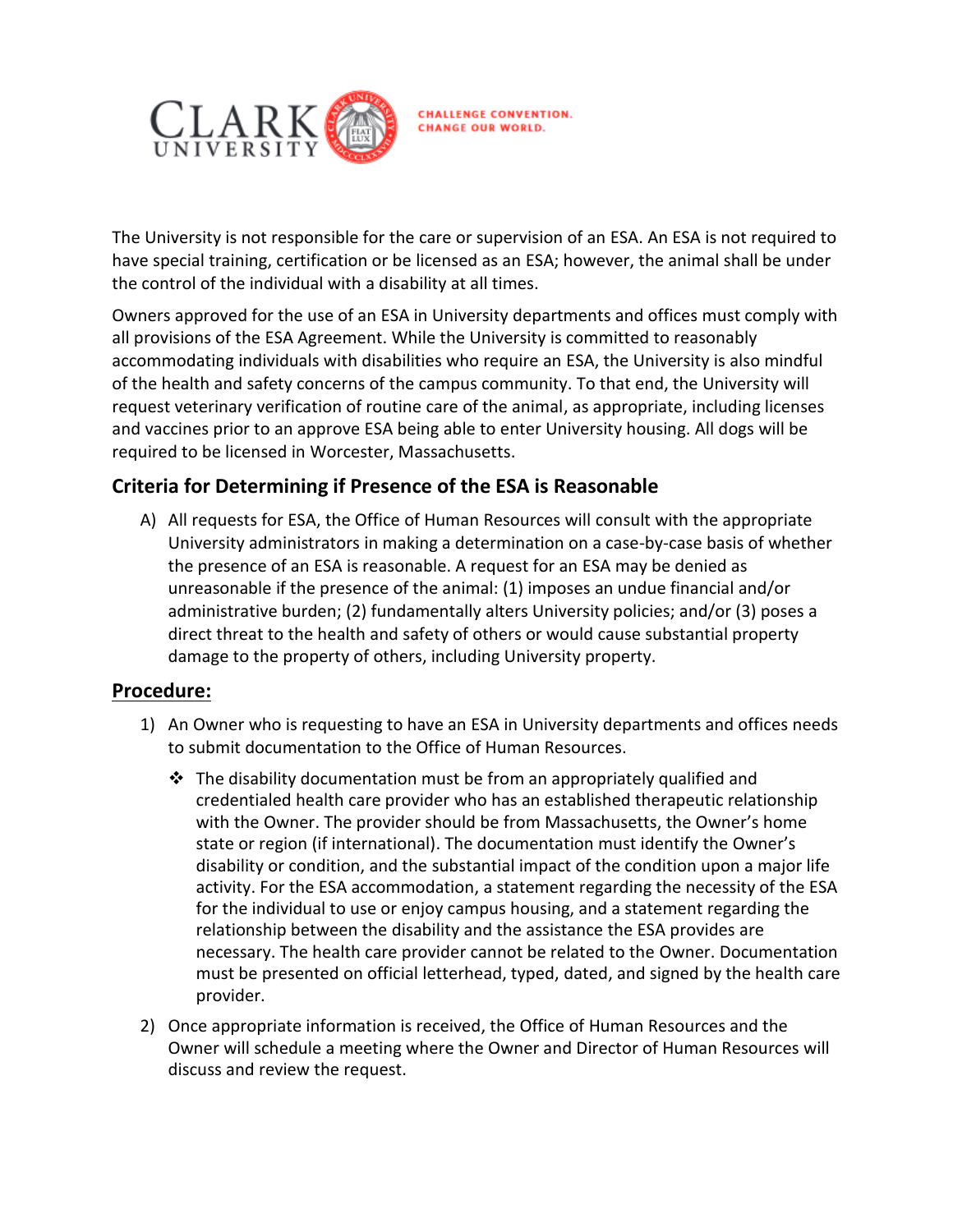

The University is not responsible for the care or supervision of an ESA. An ESA is not required to have special training, certification or be licensed as an ESA; however, the animal shall be under the control of the individual with a disability at all times.

Owners approved for the use of an ESA in University departments and offices must comply with all provisions of the ESA Agreement. While the University is committed to reasonably accommodating individuals with disabilities who require an ESA, the University is also mindful of the health and safety concerns of the campus community. To that end, the University will request veterinary verification of routine care of the animal, as appropriate, including licenses and vaccines prior to an approve ESA being able to enter University housing. All dogs will be required to be licensed in Worcester, Massachusetts.

# **Criteria for Determining if Presence of the ESA is Reasonable**

A) All requests for ESA, the Office of Human Resources will consult with the appropriate University administrators in making a determination on a case-by-case basis of whether the presence of an ESA is reasonable. A request for an ESA may be denied as unreasonable if the presence of the animal: (1) imposes an undue financial and/or administrative burden; (2) fundamentally alters University policies; and/or (3) poses a direct threat to the health and safety of others or would cause substantial property damage to the property of others, including University property.

## **Procedure:**

- 1) An Owner who is requesting to have an ESA in University departments and offices needs to submit documentation to the Office of Human Resources.
	- $\div$  The disability documentation must be from an appropriately qualified and credentialed health care provider who has an established therapeutic relationship with the Owner. The provider should be from Massachusetts, the Owner's home state or region (if international). The documentation must identify the Owner's disability or condition, and the substantial impact of the condition upon a major life activity. For the ESA accommodation, a statement regarding the necessity of the ESA for the individual to use or enjoy campus housing, and a statement regarding the relationship between the disability and the assistance the ESA provides are necessary. The health care provider cannot be related to the Owner. Documentation must be presented on official letterhead, typed, dated, and signed by the health care provider.
- 2) Once appropriate information is received, the Office of Human Resources and the Owner will schedule a meeting where the Owner and Director of Human Resources will discuss and review the request.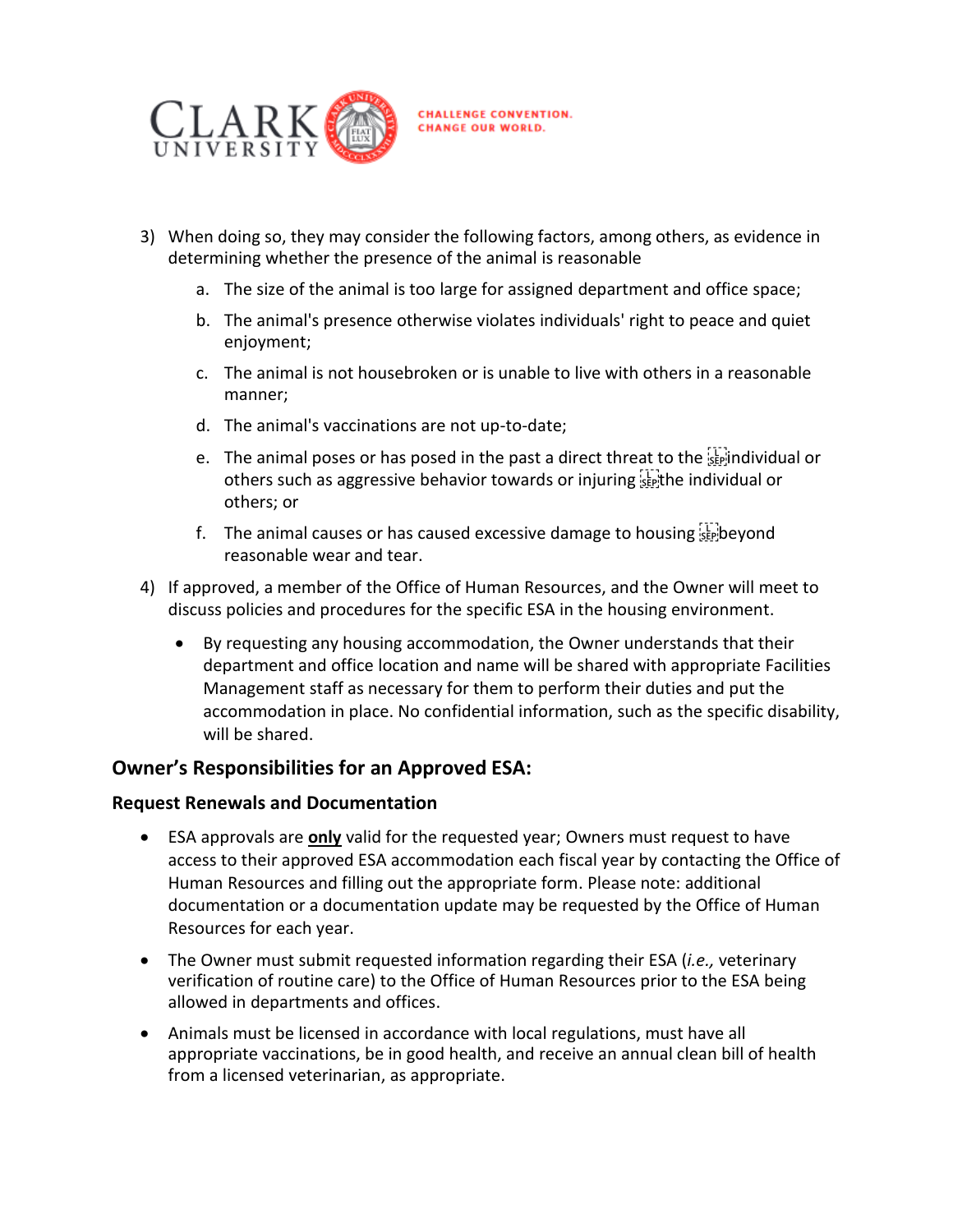

- 3) When doing so, they may consider the following factors, among others, as evidence in determining whether the presence of the animal is reasonable
	- a. The size of the animal is too large for assigned department and office space;
	- b. The animal's presence otherwise violates individuals' right to peace and quiet enjoyment;
	- c. The animal is not housebroken or is unable to live with others in a reasonable manner;
	- d. The animal's vaccinations are not up-to-date;
	- e. The animal poses or has posed in the past a direct threat to the individual or others such as aggressive behavior towards or injuring senthe individual or others; or
	- f. The animal causes or has caused excessive damage to housing  $\sum_{s \in \mathbb{N}}$  beyond reasonable wear and tear.
- 4) If approved, a member of the Office of Human Resources, and the Owner will meet to discuss policies and procedures for the specific ESA in the housing environment.
	- By requesting any housing accommodation, the Owner understands that their department and office location and name will be shared with appropriate Facilities Management staff as necessary for them to perform their duties and put the accommodation in place. No confidential information, such as the specific disability, will be shared.

## **Owner's Responsibilities for an Approved ESA:**

#### **Request Renewals and Documentation**

- ESA approvals are **only** valid for the requested year; Owners must request to have access to their approved ESA accommodation each fiscal year by contacting the Office of Human Resources and filling out the appropriate form. Please note: additional documentation or a documentation update may be requested by the Office of Human Resources for each year.
- The Owner must submit requested information regarding their ESA (*i.e.,* veterinary verification of routine care) to the Office of Human Resources prior to the ESA being allowed in departments and offices.
- Animals must be licensed in accordance with local regulations, must have all appropriate vaccinations, be in good health, and receive an annual clean bill of health from a licensed veterinarian, as appropriate.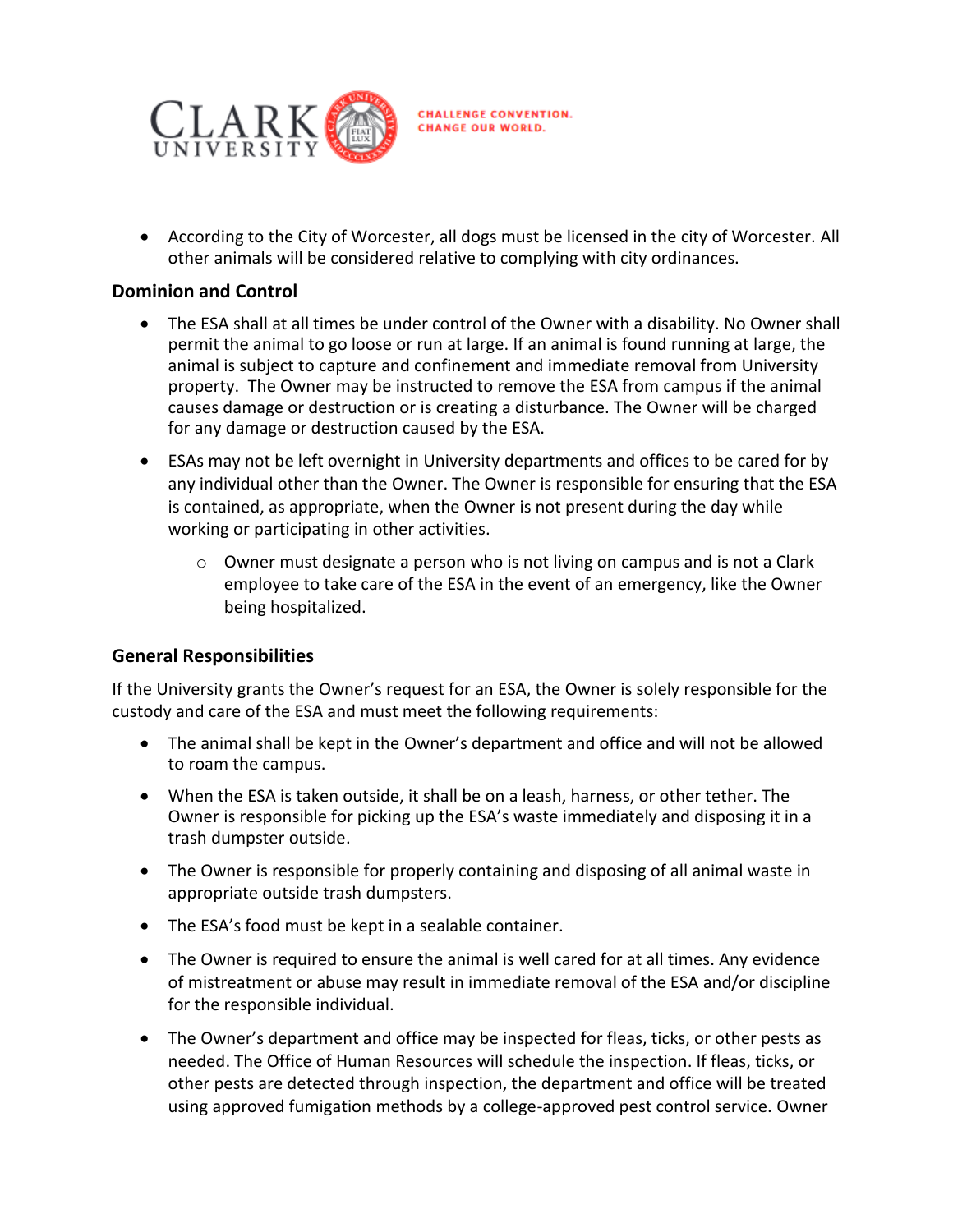

 According to the City of Worcester, all dogs must be licensed in the city of Worcester. All other animals will be considered relative to complying with city ordinances.

#### **Dominion and Control**

- The ESA shall at all times be under control of the Owner with a disability. No Owner shall permit the animal to go loose or run at large. If an animal is found running at large, the animal is subject to capture and confinement and immediate removal from University property. The Owner may be instructed to remove the ESA from campus if the animal causes damage or destruction or is creating a disturbance. The Owner will be charged for any damage or destruction caused by the ESA.
- ESAs may not be left overnight in University departments and offices to be cared for by any individual other than the Owner. The Owner is responsible for ensuring that the ESA is contained, as appropriate, when the Owner is not present during the day while working or participating in other activities.
	- $\circ$  Owner must designate a person who is not living on campus and is not a Clark employee to take care of the ESA in the event of an emergency, like the Owner being hospitalized.

#### **General Responsibilities**

If the University grants the Owner's request for an ESA, the Owner is solely responsible for the custody and care of the ESA and must meet the following requirements:

- The animal shall be kept in the Owner's department and office and will not be allowed to roam the campus.
- When the ESA is taken outside, it shall be on a leash, harness, or other tether. The Owner is responsible for picking up the ESA's waste immediately and disposing it in a trash dumpster outside.
- The Owner is responsible for properly containing and disposing of all animal waste in appropriate outside trash dumpsters.
- The ESA's food must be kept in a sealable container.
- The Owner is required to ensure the animal is well cared for at all times. Any evidence of mistreatment or abuse may result in immediate removal of the ESA and/or discipline for the responsible individual.
- The Owner's department and office may be inspected for fleas, ticks, or other pests as needed. The Office of Human Resources will schedule the inspection. If fleas, ticks, or other pests are detected through inspection, the department and office will be treated using approved fumigation methods by a college-approved pest control service. Owner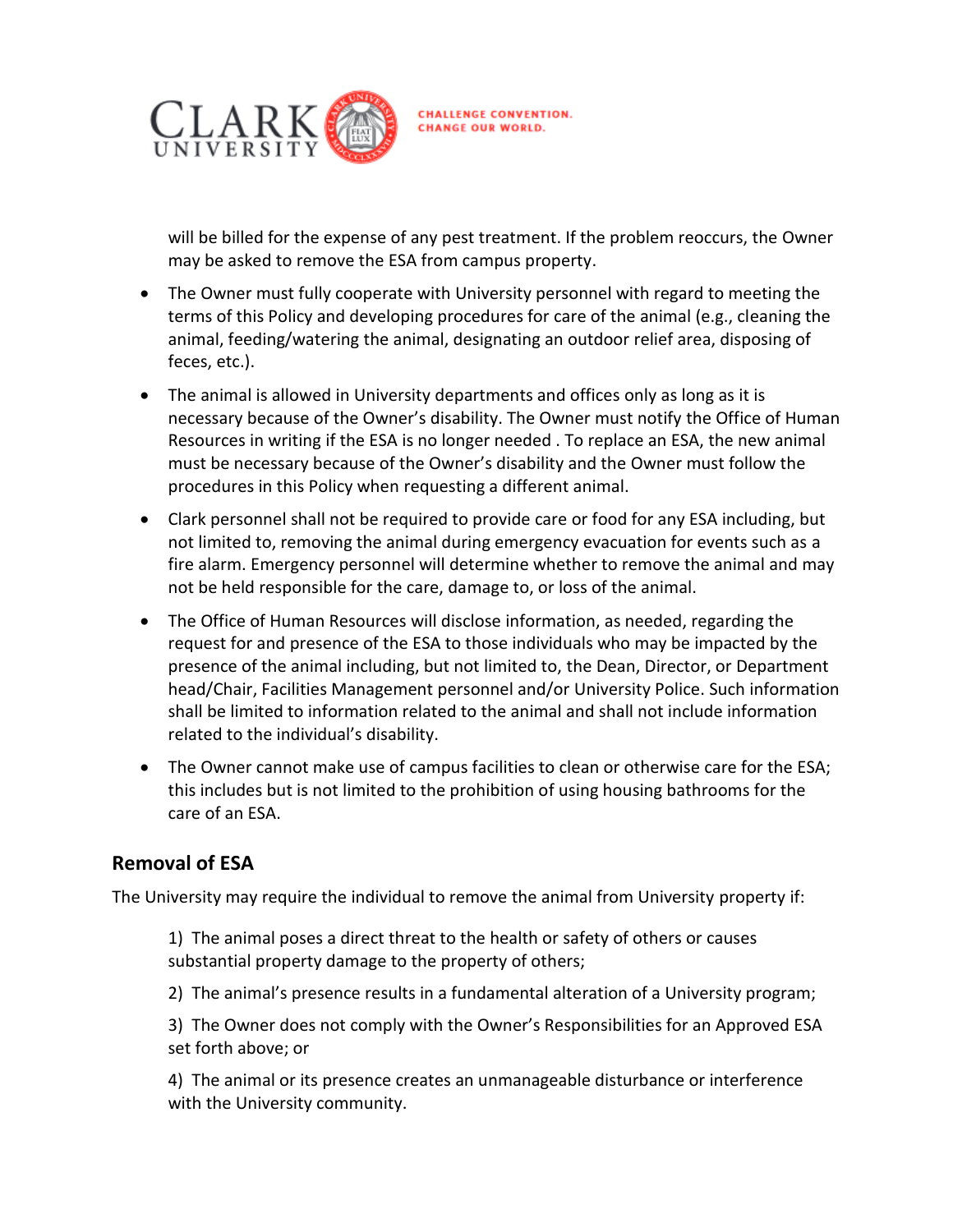

will be billed for the expense of any pest treatment. If the problem reoccurs, the Owner may be asked to remove the ESA from campus property.

- The Owner must fully cooperate with University personnel with regard to meeting the terms of this Policy and developing procedures for care of the animal (e.g., cleaning the animal, feeding/watering the animal, designating an outdoor relief area, disposing of feces, etc.).
- The animal is allowed in University departments and offices only as long as it is necessary because of the Owner's disability. The Owner must notify the Office of Human Resources in writing if the ESA is no longer needed . To replace an ESA, the new animal must be necessary because of the Owner's disability and the Owner must follow the procedures in this Policy when requesting a different animal.
- Clark personnel shall not be required to provide care or food for any ESA including, but not limited to, removing the animal during emergency evacuation for events such as a fire alarm. Emergency personnel will determine whether to remove the animal and may not be held responsible for the care, damage to, or loss of the animal.
- The Office of Human Resources will disclose information, as needed, regarding the request for and presence of the ESA to those individuals who may be impacted by the presence of the animal including, but not limited to, the Dean, Director, or Department head/Chair, Facilities Management personnel and/or University Police. Such information shall be limited to information related to the animal and shall not include information related to the individual's disability.
- The Owner cannot make use of campus facilities to clean or otherwise care for the ESA; this includes but is not limited to the prohibition of using housing bathrooms for the care of an ESA.

# **Removal of ESA**

The University may require the individual to remove the animal from University property if:

1) The animal poses a direct threat to the health or safety of others or causes substantial property damage to the property of others;

2) The animal's presence results in a fundamental alteration of a University program;

3) The Owner does not comply with the Owner's Responsibilities for an Approved ESA set forth above; or

4) The animal or its presence creates an unmanageable disturbance or interference with the University community.